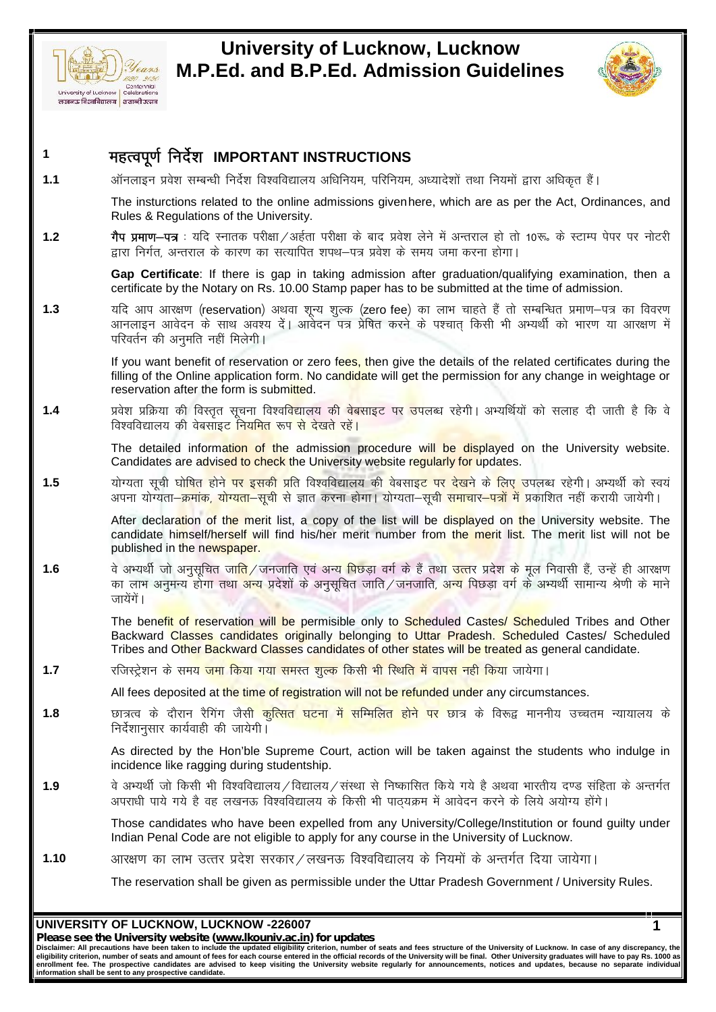

# **University of Lucknow, Lucknow M.P.Ed. and B.P.Ed. Admission Guidelines** <u>Enternal Ministry</u> of Lucknow, Luck<br>
Ed. and B.P.Ed. Admission G<br>
Editor | Editor<br>
सहत्वपूर्ण निर्देश IMPORTANT INSTRUCTIONS<br>
<sup>21</sup> सहत्वपूर्ण निर्देश IMPORTANT INSTRUCTIONS<br>
<sup>21</sup> ऑनलाइन प्रवेश सम्बन्धी निर्देश विश्वविद्य



**1**

**1**<br>**1 महत्वपूर्णनिर्देश IMPORTANT INSTRUCTIONS**<br>1.1 ऑनलाइन प्रवेश सम्बन्धी निर्देश विश्वविद्यालय अधिनियम, परिनियम, अध्यादेशों तथा नियमों द्वारा अधिकृत हैं।<br>The insturctions related to the online admissions givenhere, w The insturctions related to the online admissions givenhere, which are as per the Act, Ordinances, and Rules & Regulations of the University.

**1**<br>**1.1** ऑनलाइन प्रवेश सम्बन्धी निर्देश विश्वविद्यालय अधिनियम, परिनियम, अध्यादेशों तथा नियमों द्वारा अधिकृत हैं।<br>The insturctions related to the online admissions givenhere, which are as per the Act, Ordinances, and<br>Rule अॉनलाइन प्रवेश सम्बन्धी निर्देश विश्वविद्यालय अधिनियम, परिनियम, अध्यादेशों तथा नियमों द्वारा अधिकृत हैं।<br>The insturctions related to the online admissions givenhere, which are as per the Act, Ordinances, and<br>Rules & Regul

certificate by the Notary on Rs. 10.00 Stamp paper has to be submitted at the time of admission.

1.2 **1.**<br> **1.2 1.3 1.8 Propertially** 1.8 **i**n values of the state of the state of the state of the state of the state of the state of the state of the state of the state of the state of the state of admission after गप प्रमाण-पत्र : बाद स्मातक पराता) अहता पराता के बाद प्रकार लग में अपराल हो ता 10%; के स्टान्प पपर पर माटरा<br>द्वारा निर्गत, अन्तराल के कारण का सत्यापित शपथ-पत्र प्रवेश के समय जमा करना होगा।<br>Cap Certificate: If there is gap परिवर्तन की अनुमति नहीं मिलेगी।

If you want benefit of reservation or zero fees, then give the details of the related certificates during the filling of the Online application form. No candidate will get the permission for any change in weightage or  $\parallel$ reservation after the form is submitted. आनलाइन आवदन के साथ अवश्य द। आवदन पत्र प्राप्त करन के पश्चात् किसी भी अभ्यथी की भारण या आरक्षण में<br>परिवर्तन की अनुमति नहीं मिलेगी।<br>If you want benefit of reservation or zero fe<mark>es, then give the details of the related cert</mark> पारवतन का अनुमात नहा मिलगा।<br>If you want benefit of reservation or zero fe<mark>es, t</mark>hen give the details<br>filling of the Online application form. No candidate will get the permi<br>reservation after the form is submitted.<br>प्रवेश

प्रवेश प्रक्रिया की विस्तृत सूचना विश्वविद्यालय की वेबसाइट पर <mark>उ</mark>पलब्ध रहेगी। अभ्यर्थियों को सलाह दी जाती है कि वे<br>विश्वविद्यालय की वेबसाइट नियमित रूप से देखते रहें।<br>The detailed inform<mark>ation of th</mark>e admission procedure w

The detailed information of the admission procedure will be displayed on the University website. Candidates are advised to check the University website regularly for updates. प्रवेश प्रक्रिया की विस्तृत सूचना विश्वविद्यालय की वेबसाइट पर उपलब्ध रहेगी। अभ्यर्थियों को सलाह दी जाती है कि वे<br>विश्वविद्यालय की वेबसाइट नियमित रूप से देखते रहें।<br>The detailed information of the admission procedure will

After declaration of the merit list, a copy of the list will be displayed on the University website. The candidate himself/herself will find his/her merit number from the merit list. The merit list will not be published in the newspaper.

1.5 a suited the strange of the strange of the strange of the strange of the strange of the strange of the strange of the strange of the strange of the strange of the strange of the strange of the strange of the strange o वे अभ्यर्थी जो अनुसूचित जा<mark>ति</mark> ⁄ जनजाति एवं अन्<mark>य पिछ</mark>ड़ा वर्ग के हैं तथ<mark>ा उत्त</mark>र प्रदेश के मूल निवासी हैं, उन्हें ही आरक्षण<br>का लाभ अनुमन्य होगा तथा <mark>अन्य प्र</mark>देशों के अनुसूचित जाति ⁄ जनजाति, अन्य पिछड़ा वर्ग के अभ्यर्थी जायेंगें।

The benefit of reservation will be permisible only to Scheduled Castes/ Scheduled Tribes and Other Backward Classes candidates originally belonging to Uttar Pradesh. Scheduled Castes/ Scheduled  $\,|\,$ Tribes and Other Backward Classes candidates of other states will be treated as general candidate. का लाम अनुमन्य होगा तथा अन्य प्रदेशा क अनुसूचत जात7 जनजात, अन्य 149 हा या क अन्यथा साम<br>
The benefit of reservation will be permisible only to Scheduled Castes/ Scheduled Tri<br>
Backward Classes candidates originally belongi

All fees deposited at the time of registration will not be refunded under any circumstances.

Expediance Classes candidates originally belonging to Uttar Pradesh. Scheduled Castes/ Scheduled<br>Tribes and Other Backward Classes candidates of other states will be treated as general candidate.<br>1.7 रजिस्ट्रेशन के समय <mark>ज</mark> निर्देशानुसार कार्यवाही की जायेगी।

As directed by the Hon'ble Supreme Court, action will be taken against the students who indulge in incidence like ragging during studentship. कालत के दौरान समेत जैसा कुलित बटना न सम्मालत होने पर छात्र के विरुद्ध नाननाव उच्चतन स्वादालय के निर्देशानुसार कार्यवाही की जायेगी।<br>As directed by the Hon'ble Supreme Court, action will be taken against the students who in

1.8 छात्रत्व के दौरान रैगिंग जैस<mark>ी कुत्सित घटना में सम्मिलित होने पर छा</mark>त्र के विरूद्व माननीय उच्चतम न्यायालय के<br>निर्देशानुसार कार्यवाही की जायेगी।<br>As directed by the Hon'ble Supreme Court, action will be taken against th **1.10** vkj{k.k dk ykHk mRrj izns"k ljdkj@y[kuÅ fo"ofo|ky; ds fu;eks a ds vUrxZr fn;k tk;sxkA

Those candidates who have been expelled from any University/College/Institution or found guilty under Indian Penal Code are not eligible to apply for any course in the University of Lucknow.

The reservation shall be given as permissible under the Uttar Pradesh Government / University Rules.

#### **UNIVERSITY OF LUCKNOW, LUCKNOW -226007**

*Please see the University website (www.lkouniv.ac.in) for updates*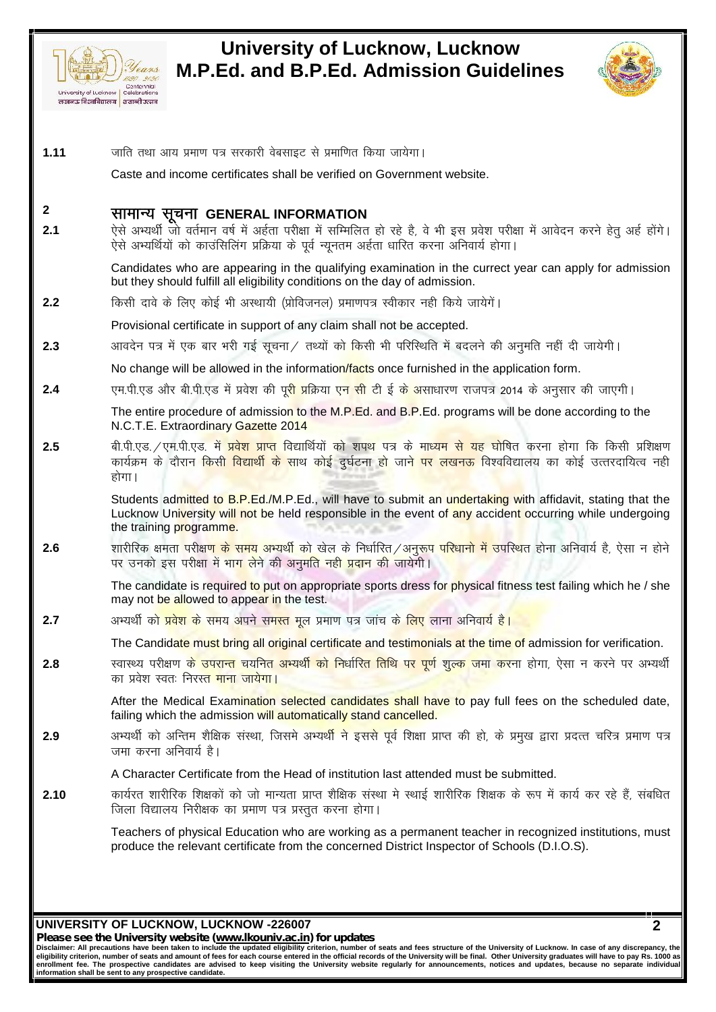



**IN.P.Ed. and B.P.Ed. Admission Administrator**<br>
<sub>*Diviversity of Lucknow* Celebrations<br>
कब्रब-निश्चालय | हालादी उत्सव<br>
1.11 जाति तथा आय प्रमाण पत्र सरकारी वेबसाइट से प्रमाणित किया जायेगा |<br>Caste and income certificates s</sub>

Caste and income certificates shall be verified on Government website.

# **<sup>2</sup> lkekU; lwpuk GENERAL INFORMATION**

1.11 जाति तथा आय प्रमाण पत्र सरकारी वेबसाइट से प्रमाणित किया जायेगा |<br>Caste and income certificates shall be verified on Government website.<br>2.1 पेसे अभ्यर्थी जो वर्तमान वर्ष में अईता परीक्षा में सम्मिलित हो रहे है, वे भी ऐसे अभ्यर्थी जो वर्तमान वर्ष में अर्हता परीक्षा में सम्मिलित हो रहे है, वे भी इस प्रवेश परीक्षा में आवेदन करने हेतु अर्ह होंगे।<br>ऐसे अभ्यर्थियों को काउंसिलिंग प्रक्रिया के पूर्व न्यूनतम अर्हता धारित करना अनिवार्य होगा। रान्द्र स्थाप्य स्थाप्य स्थाप्य करना का स्वास्था कर है है, वे भी इस प्रवेश परीक्षा में<br>ऐसे अभ्यर्थी जो वर्तमान वर्ष में अईता परीक्षा में सम्मिलित हो रहे है, वे भी इस प्रवेश परीक्षा में<br>ऐसे अभ्यर्थियों को काउंसिलिंग प्रक्र

Candidates who are appearing in the qualifying examination in the currect year can apply for admission but they should fulfill all eligibility conditions on the day of admission. Tandidates who are appearing in the qualifying examination in the currect year can apply for admission<br>but they should fulfill all eligibility conditions on the day of admission.<br>2.2 किसी दावे के लिए कोई भी अस्थायी (प्रोव

Provisional certificate in support of any claim shall not be accepted.

No change will be allowed in the information/facts once furnished in the application form.

1989 मा अस्थाया (प्रायजनल) प्रमाणपत्र स्वाकार नहीं किये जायेगे।<br>
2.3 आवदेन पत्र में एक बार भरी गई सूचना ⁄ तथ्यों को किसी भी परिस्थिति में बदलने की अनुमति नहीं दी जायेगी।<br>
No change will be allowed in the information *f*r The entire procedure of admission to the M.P.Ed. and B.P.Ed. programs will be done according to the N.C.T.E. Extraordinary Gazette 2014

**2.4** Change will be allowed in the information/facts once furnished in the application form.<br>
2.4 एम.पी.एड और बी.पी.एड में प्रवेश की पू<mark>री प्र</mark>क्रिया एन सी टी ई क<mark>े अ</mark>साधारण राजपत्र 2014 के अनुसार की जाएगी।<br>
The entire p एम.पी.एड और बी.पी.एड में प्रवेश की पू<mark>री प्र</mark>क्रिया ए<mark>न सी</mark> टी ई क<mark>े अ</mark>साधारण राजपत्र 2014 के अनुसार की जाएगी।<br>The entire procedure of admission to the M.P.Ed. and B.P.Ed. programs will be done according to the<br>N.C.T.E. E होगा।

Students admitted to B.P.Ed./M.P.Ed., will have to submit an undertaking with affidavit, stating that the Lucknow University will not be held responsible in the event of any accident occurring while undergoing the training programme. कायक्रम के दारान level letter of strategy of strategy and the system of strategy and strategy in the strategy of the training programme.<br>
Lucknow University will not be held responsible in the event of any accident occurr

पर उनको इस परीक्षा में भाग लेने की अनुमति नह<mark>ी प्रदान की जा</mark>येगी। र 2.6 बारीरिक क्षमता परीक्ष<mark>ण के समय अभ्यर्थी</mark> को खेल के निर्धारित ⁄अनुरू<mark>प परिधानो में उपस्थित</mark> होना अनिवार्य है, ऐ<br>पर उनको इस परीक्षा में भाग लेने की अनुमति नहीं प्रदान की जायेगी।<br>The candidate is required to put on app

The candidate is required to put on appropriate sports dress for physical fitness test failing which he / she may not be allowed to appear in the test.

The Candidate must bring all original certificate and testimonials at the time of admission for verification.

The candidate is required to put on appropriate sports dress for physical fitness test failing which he / she<br>may not be allowed to appear in the test.<br>2.7 अभ्यर्थी क<mark>ो प्रवेश के समय अपने समस्त मूल प्रमाण पत्र जांच के लिए</mark> का प्रवेश स्वतः निरस्<mark>त माना जायेगा।</mark> र 2.8 स्वास्थ्य परीक्षण <mark>के उपरान्त चयनित अभ्यर्थी को निर्धारित तिथि पर पूर्ण शुल्क जमा करना होगा, ऐसा न करने पर अभ्यर्थी<br>का प्रवेश स्वतः निरस्त <mark>माना जायेगा।</mark><br>After the Medical Examination selected candidates shall have </mark>

After the Medical Examination selected candidates shall have to pay full fees on the scheduled date, failing which the admission will automatically stand cancelled.

जमा करना अनिवार्य है।

A Character Certificate from the Head of institution last attended must be submitted.

tailing which the admission <mark>will automatically stand cancelled.</mark><br>2.9 अभ्यर्थी को अन्तिम शैक्षिक संस्था, जिसमे अभ्यर्थी ने इससे पूर्व शिक्षा प्राप्त की हो, के प्रमुख द्वारा प्रदत्त चरित्र प्रमाण पत्र<br>जमा करना अनिवार्य है। अभ्यर्थी को अन्तिम शैक्षिक संस्था, जिसमे अभ्यर्थी ने इससे पूर्व शिक्षा प्राप्त की हो, के प्रमुख द्वारा प्रदत्त चरित्र प्रमाण पत्र<br>जमा करना अनिवार्य है।<br>कार्यरत शारीरिक शिक्षकों को जो मान्यता प्राप्त शैक्षिक संस्था मे स्था

produce the relevant certificate from the concerned District Inspector of Schools (D.I.O.S).

**UNIVERSITY OF LUCKNOW, LUCKNOW -226007**

*Please see the University website (www.lkouniv.ac.in) for updates*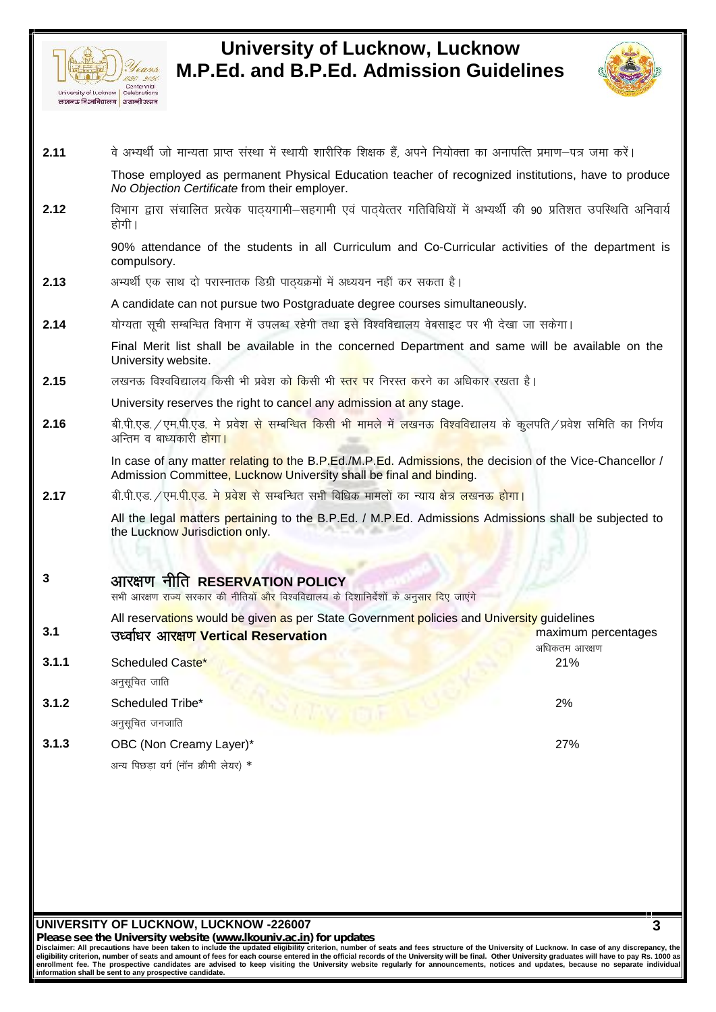



**3**

- **2.11** of section of suitable and B.P.Ed. Admission Guidelines<br> *2.11* of sections and the set of the set of the set of the set of text.<br>
Those employed as permanent Physical Education teacher of recognized institutions, Those employed as permanent Physical Education teacher of recognized institutions, have to produce *No Objection Certificate* from their employer. री है के अभ्यर्थी जो मान्यता प्राप्त संस्था में स्थायी शारीरिक शिक्षक हैं, अपने नियोक्ता का अनापत्ति प्रमाण—पत्र जमा करें।<br>Those employed as permanent Physical Education teacher of recognized institutions, have to produce
- होगी। री 2.12 12 विभाग द्वारा संचालित प्रत्येक पाठ्यगामी–सहगामी एवं पाठ्येत्तर गतिविधियों में अभ्यर्थी की 90 प्रतिष्<br>होगी।<br>1. 90% attendance of the students in all Curriculum and Co-Curricular activities of<br>2.13 अभ्यर्थी एक साथ

90% attendance of the students in all Curriculum and Co-Curricular activities of the department is compulsory. 90% attendance of the students in all Curriculum and Co-Curricular activities of the dep<br>compulsory.<br>2.13 अभ्यर्थी एक साथ दो परास्नातक डिग्री पाठ्यक्रमों में अध्ययन नहीं कर सकता है।<br>A candidate can not pursue two Postgra

A candidate can not pursue two Postgraduate degree courses simultaneously.

- 
- Final Merit list shall be available in the concerned Department and same will be available on the University website. A candidate can not pursue two Postgraduate degree courses simultaneously.<br>
2.14 योग्यता सूची सम्बन्धित विभाग में उपलब्ध रहेगी तथा इसे विश्वविद्यालय वेबसाइट पर भी देखा जा सकेगा।<br>
Final Merit list shall be available in the
- 

University reserves the right to cancel any admission at any stage.

Tinal Merit list shall be available in the concerned Department and same will be available on the<br>University website.<br>2.15 लखनऊ विश्वविद्यालय किसी भी प्रवेश को किसी भी <mark>स्तर प</mark>र निरस्त करने का अधिकार रखता है।<br>2.16 बी.पी.ए अन्तिम व बाध्यकारी <mark>होगा।</mark> **2.16** al.पी.एड. / एम.पी.एड. मे प्रवेश से सम्बन्धित किसी भी मामले में लखनऊ विश्वविद्यालय के कुलपति / प्रवेश समिति व<br>अन्तिम व बाध्यकारी होगा।<br>In case of any matter relating to the B.P.Ed./M.P.Ed. Admissions, the decision o

In case of any matter relating to the B.P.Ed./M.P.Ed. Admissions, the decision of the Vice-Chancellor / Admission Committee, Lucknow University shall be final and binding.

All the legal matters pertaining to the B.P.Ed. / M.P.Ed. Admissions Admissions shall be subjected to the Lucknow Jurisdiction only.

# **<sup>3</sup> vkj{k.k uhfr RESERVATION POLICY**

सभी आरक्षण राज्<mark>य</mark> सरकार की नीतियों और विश्वविद्यालय के दिशानिर्देशों के अनुसा<mark>र दिए</mark> जाएंगे

|       |                                       | All reservations would be given as per State Government policies and University guidelines |  |  |  |
|-------|---------------------------------------|--------------------------------------------------------------------------------------------|--|--|--|
| 3.1   | उर्ध्वाधर आरक्षण Vertical Reservation | maximum percentages                                                                        |  |  |  |
|       |                                       | अधिकतम आरक्षण                                                                              |  |  |  |
| 3.1.1 | Scheduled Caste*                      | 21%                                                                                        |  |  |  |
|       | अनुसूचित जाति                         |                                                                                            |  |  |  |
| 3.1.2 | Scheduled Tribe*                      | 2%                                                                                         |  |  |  |
|       | अनुसूचित जनजाति                       |                                                                                            |  |  |  |
| 3.1.3 | OBC (Non Creamy Layer)*               | 27%                                                                                        |  |  |  |
|       | अन्य पिछड़ा वर्ग (नॉन क्रीमी लेयर) *  |                                                                                            |  |  |  |
|       |                                       |                                                                                            |  |  |  |

### **UNIVERSITY OF LUCKNOW, LUCKNOW -226007**

*Please see the University website (www.lkouniv.ac.in) for updates*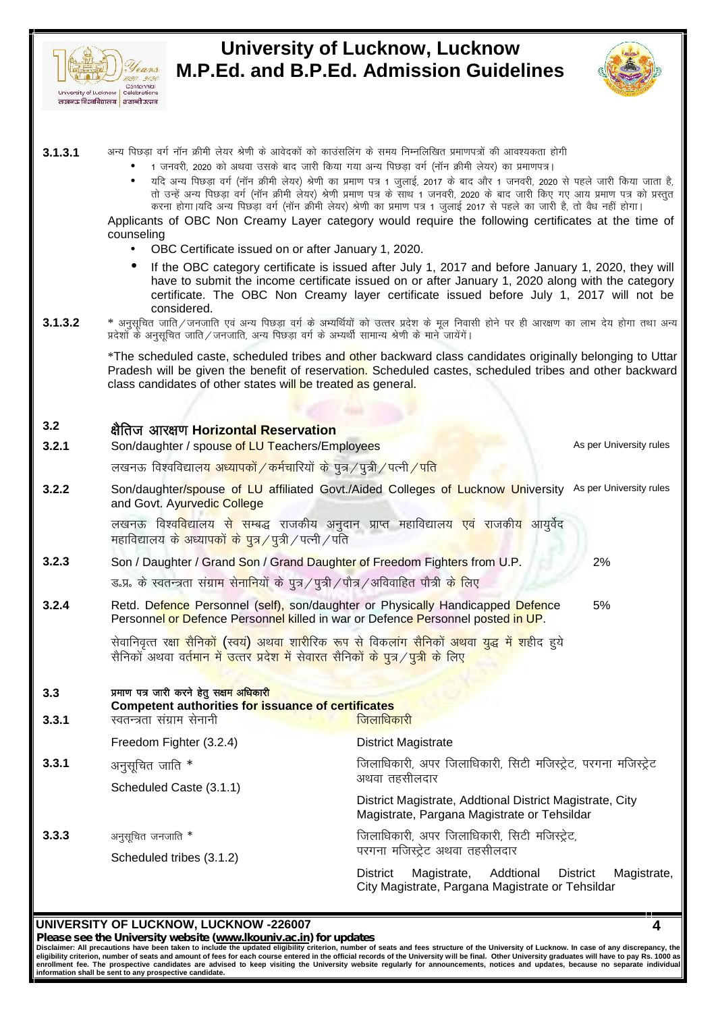



- 
- **3.1.3.1** vU; fiNM +k oxZ u'u Øheh y s;j J s.kh ds vkosndksa dks dkm alfyax d s le; fuEufyf[kr çek.ki=ksa dh vko';drk gksxh 1 tuojh] 2020 dks vFkok mld s ckn tkjh fd;k x;k vU; fiNM +k oxZ ¼u'u Øheh ys;j½ dk çek.ki=A ;fn vU; fiNM+k oxZ ¼u'u Øheh ys;j½ J s.kh dk çek.k i= 1 tqykbZ] 2017 ds ckn vkSj 1 tuojh] 2020 l s igys tkjh fd;k tkrk gS] r वर्ग नॉन क्रीमी लेयर श्रेणी के आवेदकों को काउंसलिंग के समय निम्नलिखित प्रमाणपत्रों की आवश्यकता होगी<br>1 जनवरी, 2020 को अथवा उसके बाद जारी किया गया अन्य पिछड़ा वर्ग (नॉन क्रीमी लेयर) का प्रमाणपत्र।<br>तो उन्हें अन्य पिछड़ा वर वर्ग नॉन क्रीमी लेयर श्रेणी के आवेदकों को काउंसलिंग के समय निम्नलिखित प्रमाणपत्रों की आवश्यकता होगी<br>1 जनवरी, 2020 को अथवा उसके बाद जारी किया गया अन्य पिछड़ा वर्ग (नॉन क्रीमी लेयर) का प्रमाणपत्र।<br>वो उन्हें अन्य पिछड़ा वर्ग Applicants of OBC Non Creamy Layer category would require the following certificates at the time of

#### counseling

- OBC Certificate issued on or after January 1, 2020.
- If the OBC category certificate is issued after July 1, 2017 and before January 1, 2020, they will have to submit the income certificate issued on or after January 1, 2020 along with the category certificate. The OBC Non Creamy layer certificate issued before July 1, 2017 will not be considered. ● If the OBC category certificate is issued after July 1, 2017 and before January 1, 2020, they will have to submit the income certificate issued on or after January 1, 2020 along with the category certificate. The OBC N • If the OBC category certificate is issued after July 1, 2017 and before January 1, 2020, they will have to submit the income certificate issued on or after January 1, 2020 along with the category certificate. The OBC No
- 

Pradesh will be given the benefit of reservation. Scheduled castes, scheduled tribes and other backward class candidates of other states will be treated as general.

| 3.2   | क्षैतिज आरक्षण Horizontal Reservation                                                                                                                                   |                                                                                                                  |  |
|-------|-------------------------------------------------------------------------------------------------------------------------------------------------------------------------|------------------------------------------------------------------------------------------------------------------|--|
| 3.2.1 | Son/daughter / spouse of LU Teachers/Employees                                                                                                                          | As per University rules                                                                                          |  |
|       | लखनऊ विश्वविद्याल <mark>य अध्यापकों / कर्मचा</mark> रियों के पुत्र / पुत्री <mark>/ पत्नी / पत</mark> ि                                                                 |                                                                                                                  |  |
| 3.2.2 | and Govt. Ayurvedic College                                                                                                                                             | As per University rules<br>Son/daughter/spouse of LU affiliated Govt./Aided Colleges of Lucknow University       |  |
|       | महाविद्यालय क <mark>े अध्यापकों के पुत्र / पुत्री /</mark> पत्नी / पति                                                                                                  | लखनऊ विश्व <mark>वि</mark> द्यालय से सम्बद्ध राजकीय अनुदान प्राप्त महाविद्यालय एवं राजकी <mark>य</mark> आयुर्वेद |  |
| 3.2.3 |                                                                                                                                                                         | Son / Daughter / Grand Son / Grand Daughter of Freedom Fighters from U.P.<br>2%                                  |  |
|       | ड.प्र. के स्वतन्त्रता संग्राम से <mark>नानियों</mark> के पुत्र / पुत्री / पौत्र / अविवाहित पौत्री <mark>के लिए</mark>                                                   |                                                                                                                  |  |
| 3.2.4 | Retd. Defence Personnel (self), son/daughter or Physically Handicapped Defence<br>5%<br>Personnel or Defence Personnel killed in war or Defence Personnel posted in UP. |                                                                                                                  |  |
|       | सैनिकों अथवा वर्त <mark>मान में उत्तर प्रदेश में सेवारत सैनिकों के पुत्र ⁄ पुत्री के लिए</mark>                                                                         | सेवानिवृत्त रक्ष <mark>ा सैनिकों (स्वयं)</mark> अथवा शारीरिक रूप से विकलांग सैनिकों अथवा युद्ध में शहीद हुये     |  |
| 3.3   | प्रमाण पत्र जारी करने हेतु स <mark>क्षम अधिकारी</mark>                                                                                                                  |                                                                                                                  |  |
| 3.3.1 | <b>Competent authorities for issuance of certificates</b><br>स्वतन्त्रता संग्राम सेनानी                                                                                 | जिलाधिकारी                                                                                                       |  |
|       | Freedom Fighter (3.2.4)                                                                                                                                                 | <b>District Magistrate</b>                                                                                       |  |
| 3.3.1 | अनुसूचित जाति *                                                                                                                                                         | जिलाधिकारी, अपर जिलाधिकारी, सिटी मजिस्ट्रेट, परगना मजिस्ट्रेट                                                    |  |
|       | Scheduled Caste (3.1.1)                                                                                                                                                 | अथवा तहसीलदार                                                                                                    |  |
|       |                                                                                                                                                                         | District Magistrate, Addtional District Magistrate, City<br>Magistrate, Pargana Magistrate or Tehsildar          |  |
|       | अनुसूचित जनजाति *                                                                                                                                                       | जिलाधिकारी, अपर जिलाधिकारी, सिटी मजिस्ट्रेट,                                                                     |  |
|       |                                                                                                                                                                         | परगना मजिस्ट्रेट अथवा तहसीलदार                                                                                   |  |
| 3.3.3 | Scheduled tribes (3.1.2)                                                                                                                                                |                                                                                                                  |  |

*Please see the University website (www.lkouniv.ac.in) for updates*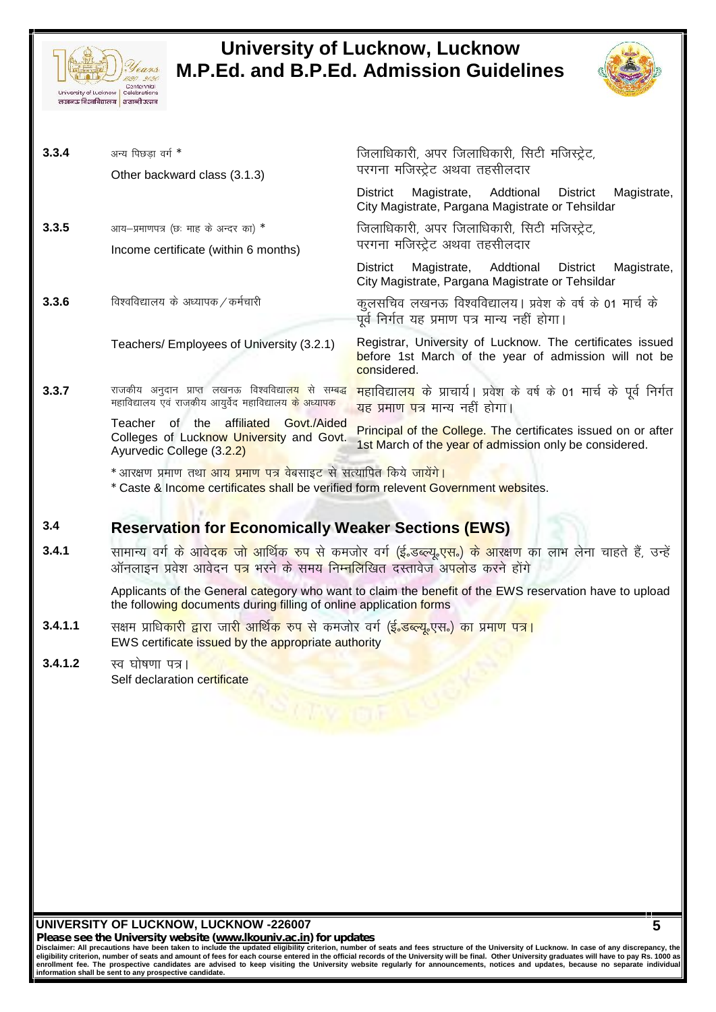



| University of Lucknow | <i>Jeans</i><br>Centennial<br>Celebrations<br>लखनऊ विश्वविद्यालय   शताब्दी उत्सव                                                                           | <b>M.P.Ed. and B.P.Ed. Admission Guidelines</b>                                                                                   |
|-----------------------|------------------------------------------------------------------------------------------------------------------------------------------------------------|-----------------------------------------------------------------------------------------------------------------------------------|
| 3.3.4                 | अन्य पिछडा वर्ग *<br>Other backward class (3.1.3)                                                                                                          | जिलाधिकारी, अपर जिलाधिकारी, सिटी मजिस्ट्रेट,<br>परगना मजिस्ट्रेट अथवा तहसीलदार                                                    |
|                       |                                                                                                                                                            | Magistrate, Addtional<br><b>District</b><br>Magistrate,<br><b>District</b><br>City Magistrate, Pargana Magistrate or Tehsildar    |
| 3.3.5                 | आय-प्रमाणपत्र (छः माह के अन्दर का) *<br>Income certificate (within 6 months)                                                                               | जिलाधिकारी, अपर जिलाधिकारी, सिटी मजिस्ट्रेट,<br>परगना मजिस्ट्रेट अथवा तहसीलदार                                                    |
|                       |                                                                                                                                                            | Magistrate, Addtional<br>Magistrate,<br><b>District</b><br>District<br>City Magistrate, Pargana Magistrate or Tehsildar           |
| 3.3.6                 | विश्वविद्यालय के अध्यापक / कर्मचारी                                                                                                                        | कुलसचिव लखनऊ विश्वविद्यालय। प्रवेश के वर्ष के 01 मार्च के<br>पूर्व निर्गत यह प्रमाण पत्र मान्य नहीं होगा।                         |
|                       | Teachers/ Employees of University (3.2.1)                                                                                                                  | Registrar, University of Lucknow. The certificates issued<br>before 1st March of the year of admission will not be<br>considered. |
| 3.3.7                 | राजकीय अनुदान प्राप्त लखनऊ विश्वविद्याल <mark>य से सम्ब</mark> द्ध<br>महाविद्यालय एवं राजकीय आयुर्वेद महाविद्यालय <mark>के अ</mark> ध्यापक                 | <mark>महाविद्यालय</mark> के प्राचार्य। प्रवेश के वर्ष के 01 मार्च के पूर्व निर्गत<br>यह प्रमाण पत्र मान्य नहीं होगा।              |
|                       | Teacher of the affiliated Govt./Aided<br>Colleges of Lucknow University and Govt.<br>Ayurvedic College (3.2.2)                                             | Principal of the College. The certificates issued on or after<br>1st March of the year of admission only be considered.           |
|                       | *आरक्षण प्रमाण तथा आयु प्रमाण पत्र वेबसाइट से सत्यापित किये जायेंगे।<br>* Caste & Income certificates shall be verified form relevent Government websites. |                                                                                                                                   |

# **3.4 Reservation for Economically Weaker Sections (EWS)**

**3.4.1** lkekU; oxZ ds vko snd tks vkfFkZd #i l s detksj oxZ ¼bZñMCY;wñ,lñ½ ds vkj{k.k dk ykHk ysuk pkgr s gS a] mUgs a validate a lincome certificates shall be verified form relevent Government website<br>
Reservation for Economically Weaker Sections (EWS)<br>
सामान्य वर्ग के आवेदक जो आर्थिक रुप से कमजोर वर्ग (ई.डब्ल्यू.एस.) के आरक्षण<br>ऑनलाइन प् 1.12001 Particular Particular Product Council Council Care of the Rindom and the Hindi and the distribution of the General category who want to claim the benefit of the EWS reservation the following documents during filli

Applicants of the General category who want to claim the benefit of the EWS reservation have to upload the following documents during filling of online application forms

- EWS certificate issued by the appropriate authority
- **3.4.1.2** स्व घोषणा पत्र। Self declaration certificate

**UNIVERSITY OF LUCKNOW, LUCKNOW -226007**

*Please see the University website (www.lkouniv.ac.in) for updates*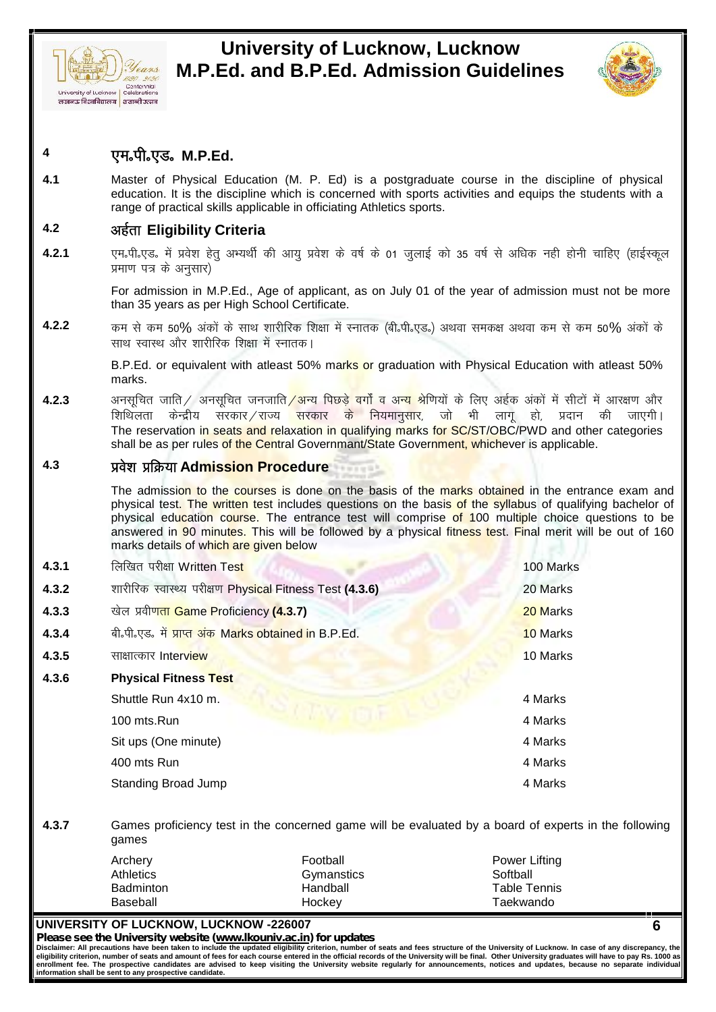



**6**

# **<sup>4</sup> ,eñihñ,Mñ M.P.Ed.**

**4.1** Master of Physical Education (M. P. Ed) is a postgraduate course in the discipline of physical education. It is the discipline which is concerned with sports activities and equips the students with a range of practical skills applicable in officiating Athletics sports. **4.1** Master of Physical Education (M. P. Ed) is a postgraduate course in the discipline of physical education. It is the discipline which is concerned with sports activities and equips the students with a range of practi

# **4.2** • अर्हता Eligibility Criteria

एम.पी.एड. में प्रवेश हेतु अभ्यर्थी की आयु प्रवेश के वर्ष के 01 जुलाई को 35 वर्ष से अधिक नही होनी चाहिए (हाईस्कूल<br>प्रमाण पत्र के अनुसार) 1.2.1 एम.पी.एड. में प्रवेश हेतु अभ्यर्थी की आयु प्रवेश के वर्ष के 01 जुलाई को 35 वर्ष से अधिक नही होनी चाहिए (हाईस्कूल<br>प्रमाण पत्र के अनुसार)<br>For admission in M.P.Ed., Age of applicant, as on July 01 of the year of admiss

For admission in M.P.Ed., Age of applicant, as on July 01 of the year of admission must not be more than 35 years as per High School Certificate.

साथ स्वास्थ और शारीरिक शिक्षा में स्नातक। कम से कम 50% अंकों के साथ शारीरिक शिक्षा में स्नातक (बी.पी.एड.) अथवा समकक्ष अथवा कम से कम 50% अंकों के<br>साथ स्वास्थ और शारीरिक शिक्षा में स्नातक।<br>B.P.Ed. or equivalent with atleast 50% ma<mark>rks o</mark>r graduation with Physical E

B.P.Ed. or equivalent with atleast 50% marks or graduation with Physical Education with atleast 50% marks.

the reservation in seats and relaxation in qualifying marks for SC/ST/ORC/PWD and other categories The reservation in seats and relaxation in qualifying marks.<br> **4.2.3** 3 अनसूचित जाति / अनसूचित जनजाति / अन्य पिछड़े वर्गों The reservation in seats and relaxation in qualifying marks for SC/ST/OBC/PWD and other categories shall be as per rules of the Central Governmant/State Government, whichever is applicable. **B.P.Ed. or equivalent with atleast 50% marks or given<br>marks.<br>4.2.3 अनसूचित जाति ⁄ अनसूचित जनजाति ∕अन्य पिछड़े वर्गौ व<br>शिथिलता केन्द्रीय सरकार ∕ राज्य सरकार के निय<br>The reservation in seats and relaxation in qua** 

The admission to the courses is done on the basis of the marks obtained in the entrance exam and physical test. The written test includes questions on the basis of the syllabus of qualifying bachelor of physical education course. The entrance test will comprise of 100 multiple choice questions to be answered in 90 minutes. This will be followed by a physical fitness test. Final merit will be out of 160 marks details of which are given below

|       | answered in 90 minutes. This will be followed by a physical fitness test. Final merit will be c<br>marks details of which are given below |           |
|-------|-------------------------------------------------------------------------------------------------------------------------------------------|-----------|
| 4.3.1 | लिखित परीक्षा Written Test                                                                                                                | 100 Marks |
| 4.3.2 | शारीरिक स्वास्थ्य परीक्षण Physical Fitness Test (4.3.6)                                                                                   | 20 Marks  |
| 4.3.3 | खेल प्रवीणता Game Proficiency (4.3.7)                                                                                                     | 20 Marks  |
| 4.3.4 | बी.पी.एड. मे <mark>ं प्राप्त अंक Marks obtained i</mark> n B.P.Ed.                                                                        | 10 Marks  |
| 4.3.5 | साक्षात्कार Interview                                                                                                                     | 10 Marks  |
| 4.3.6 | <b>Physical Fitness Test</b>                                                                                                              |           |
|       | Shuttle Run 4x10 m.                                                                                                                       | 4 Marks   |
|       | 100 mts.Run                                                                                                                               | 4 Marks   |
|       | Sit ups (One minute)                                                                                                                      | 4 Marks   |
|       | 400 mts Run                                                                                                                               | 4 Marks   |
|       | <b>Standing Broad Jump</b>                                                                                                                | 4 Marks   |

**4.3.7** Games proficiency test in the concerned game will be evaluated by a board of experts in the following games

| Archery<br>Athletics | Football<br>Gymanstics | Power Lifting<br>Softball |
|----------------------|------------------------|---------------------------|
| <b>Badminton</b>     | Handball               | Table Tennis              |
| Baseball             | Hockev                 | Taekwando                 |

**UNIVERSITY OF LUCKNOW, LUCKNOW -226007**

*Please see the University website (www.lkouniv.ac.in) for updates*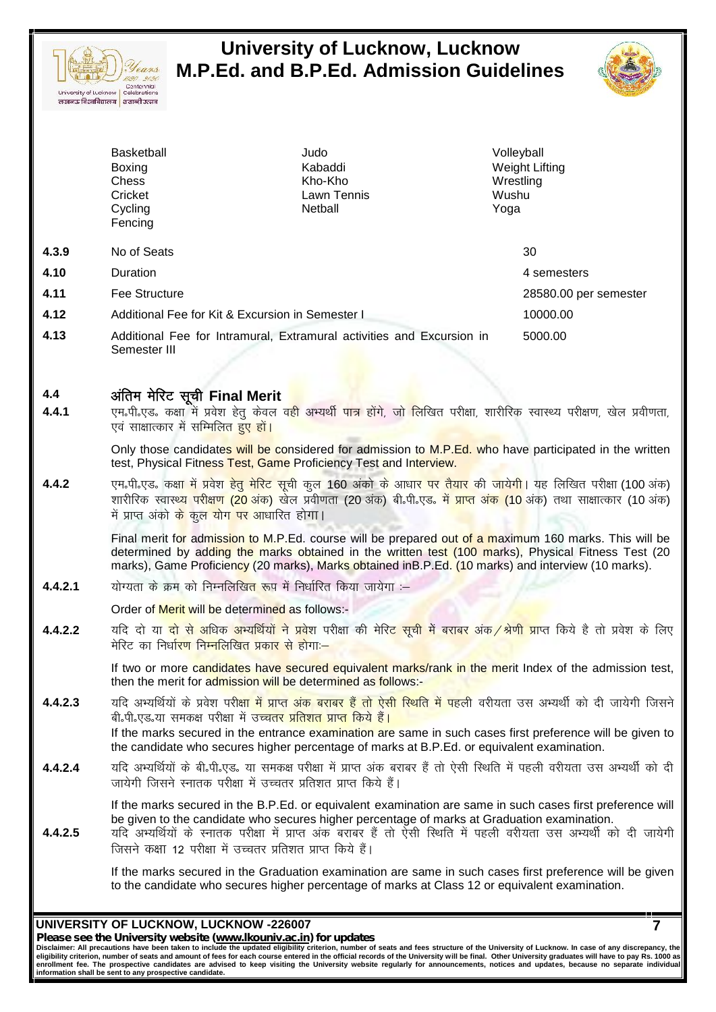



| No of Seats<br>4.3.9<br>30<br>4.10<br>Duration<br>4 semesters<br>4.11<br>Fee Structure<br>28580.00 per semester<br>4.12<br>Additional Fee for Kit & Excursion in Semester I<br>10000.00<br>4.13<br>Additional Fee for Intramural, Extramural activities and Excursion in<br>5000.00<br>Semester III<br>अंतिम मेरिट सूची Final Merit<br>4.4<br>एम.पी.एड. कक्षा में प्रवेश हेतु केवल व <mark>ही अभ्यर्थी पात्र होंगे, जो लि</mark> खित परीक्षा, शारीरिक स्वास्थ्य परीक्षण, खेल प्रवीणता,<br>4.4.1<br>एवं साक्षात्कार में सम्मिलित हुए हों।<br>Only those candidates will be considered for admission to M.P.Ed. who have participated in the written<br>test, Physical Fitness Test, Game Proficiency Test and Interview.<br>एम.पी.एड. कक्ष <mark>ा में प्र</mark> वेश हेतु मेरिट सूची कुल 160 अंको के आधार पर तैयार की जायेगी। यह लिखित परीक्षा (100 अंक)<br>4.4.2<br>शारीरिक स्वास्थ् <mark>य परीक्षण (20 अंक) खे</mark> ल प्रवीणता (20 अंक) बी.पी.एड. मे <mark>ं प्राप्</mark> त अं <mark>क (10</mark> अंक) तथा साक्षात्कार (10 अंक)<br>में प्राप्त अंको <mark>के कुल योग पर आ</mark> धारित होगा।<br>Final merit for admission to M.P.Ed. course will be prepared out of a maximum 160 marks. This will be<br>determined by adding the marks obtained in the written test (100 marks), Physical Fitness Test (20<br>marks), Game Proficiency (20 marks), Marks obtained in B.P.Ed. (10 marks) and interview (10 marks).<br>योग्यता के क्रम को निम्नलिखि <mark>त रू</mark> प में निर्धारित किया जायेगा :–<br>4.4.2.1<br>Order of Merit will be determined as follows:-<br>4.4.2.2<br>मेरिट का निर्धा <mark>रण निम्नलिखित प्रकार से होगा:–</mark><br>If two or more candidates have secured equivalent marks/rank in the merit Index of the admission test,<br>then the merit for admission will be determined as follows:-<br>4.4.2.3<br>बी.पी.एड.या समकक्ष परीक्षा में <mark>उच्चतर प्रतिशत प्राप्त किये हैं।</mark><br>the candidate who secures higher percentage of marks at B.P.Ed. or equivalent examination.<br>यदि अभ्यर्थियों के बी.पी.एड. या समकक्ष परीक्षा में प्राप्त अंक बराबर हैं तो ऐसी स्थिति में पहली वरीयता उस अभ्यर्थी को दी<br>4.4.2.4<br>जायेगी जिसने स्नातक परीक्षा में उच्चतर प्रतिशत प्राप्त किये हैं।<br>If the marks secured in the B.P.Ed. or equivalent examination are same in such cases first preference will<br>be given to the candidate who secures higher percentage of marks at Graduation examination.<br>4.4.2.5<br>जिसने कक्षा 12 परीक्षा में उच्चतर प्रतिशत प्राप्त किये हैं।<br>to the candidate who secures higher percentage of marks at Class 12 or equivalent examination. | UNIVERSITY OF LUCKNOW, LUCKNOW -226007 | <b>Basketball</b><br><b>Boxing</b><br>Chess<br>Cricket<br>Cycling<br>Fencing | Judo<br>Kabaddi<br>Kho-Kho<br>Lawn Tennis<br>Netball | Volleyball<br><b>Weight Lifting</b><br>Wrestling<br>Wushu<br>Yoga |  |
|-------------------------------------------------------------------------------------------------------------------------------------------------------------------------------------------------------------------------------------------------------------------------------------------------------------------------------------------------------------------------------------------------------------------------------------------------------------------------------------------------------------------------------------------------------------------------------------------------------------------------------------------------------------------------------------------------------------------------------------------------------------------------------------------------------------------------------------------------------------------------------------------------------------------------------------------------------------------------------------------------------------------------------------------------------------------------------------------------------------------------------------------------------------------------------------------------------------------------------------------------------------------------------------------------------------------------------------------------------------------------------------------------------------------------------------------------------------------------------------------------------------------------------------------------------------------------------------------------------------------------------------------------------------------------------------------------------------------------------------------------------------------------------------------------------------------------------------------------------------------------------------------------------------------------------------------------------------------------------------------------------------------------------------------------------------------------------------------------------------------------------------------------------------------------------------------------------------------------------------------------------------------------------------------------------------------------------------------------------------------------------------------------------------------------------------------------------------------------------------------------------------------------------------------------------------------------------------------------------------------------|----------------------------------------|------------------------------------------------------------------------------|------------------------------------------------------|-------------------------------------------------------------------|--|
|                                                                                                                                                                                                                                                                                                                                                                                                                                                                                                                                                                                                                                                                                                                                                                                                                                                                                                                                                                                                                                                                                                                                                                                                                                                                                                                                                                                                                                                                                                                                                                                                                                                                                                                                                                                                                                                                                                                                                                                                                                                                                                                                                                                                                                                                                                                                                                                                                                                                                                                                                                                                                         |                                        |                                                                              |                                                      |                                                                   |  |
|                                                                                                                                                                                                                                                                                                                                                                                                                                                                                                                                                                                                                                                                                                                                                                                                                                                                                                                                                                                                                                                                                                                                                                                                                                                                                                                                                                                                                                                                                                                                                                                                                                                                                                                                                                                                                                                                                                                                                                                                                                                                                                                                                                                                                                                                                                                                                                                                                                                                                                                                                                                                                         |                                        |                                                                              |                                                      |                                                                   |  |
|                                                                                                                                                                                                                                                                                                                                                                                                                                                                                                                                                                                                                                                                                                                                                                                                                                                                                                                                                                                                                                                                                                                                                                                                                                                                                                                                                                                                                                                                                                                                                                                                                                                                                                                                                                                                                                                                                                                                                                                                                                                                                                                                                                                                                                                                                                                                                                                                                                                                                                                                                                                                                         |                                        |                                                                              |                                                      |                                                                   |  |
|                                                                                                                                                                                                                                                                                                                                                                                                                                                                                                                                                                                                                                                                                                                                                                                                                                                                                                                                                                                                                                                                                                                                                                                                                                                                                                                                                                                                                                                                                                                                                                                                                                                                                                                                                                                                                                                                                                                                                                                                                                                                                                                                                                                                                                                                                                                                                                                                                                                                                                                                                                                                                         |                                        |                                                                              |                                                      |                                                                   |  |
| यदि दो या <mark>दो से अधिक अभ्यर्थियों ने प्रवे</mark> श परीक्षा की मेरि <del>ट सूची में बराबर अंक /श्रेणी प्रा</del> प्त किये है तो प्रवेश के लिए                                                                                                                                                                                                                                                                                                                                                                                                                                                                                                                                                                                                                                                                                                                                                                                                                                                                                                                                                                                                                                                                                                                                                                                                                                                                                                                                                                                                                                                                                                                                                                                                                                                                                                                                                                                                                                                                                                                                                                                                                                                                                                                                                                                                                                                                                                                                                                                                                                                                      |                                        |                                                                              |                                                      |                                                                   |  |
|                                                                                                                                                                                                                                                                                                                                                                                                                                                                                                                                                                                                                                                                                                                                                                                                                                                                                                                                                                                                                                                                                                                                                                                                                                                                                                                                                                                                                                                                                                                                                                                                                                                                                                                                                                                                                                                                                                                                                                                                                                                                                                                                                                                                                                                                                                                                                                                                                                                                                                                                                                                                                         |                                        |                                                                              |                                                      |                                                                   |  |
|                                                                                                                                                                                                                                                                                                                                                                                                                                                                                                                                                                                                                                                                                                                                                                                                                                                                                                                                                                                                                                                                                                                                                                                                                                                                                                                                                                                                                                                                                                                                                                                                                                                                                                                                                                                                                                                                                                                                                                                                                                                                                                                                                                                                                                                                                                                                                                                                                                                                                                                                                                                                                         |                                        |                                                                              |                                                      |                                                                   |  |
|                                                                                                                                                                                                                                                                                                                                                                                                                                                                                                                                                                                                                                                                                                                                                                                                                                                                                                                                                                                                                                                                                                                                                                                                                                                                                                                                                                                                                                                                                                                                                                                                                                                                                                                                                                                                                                                                                                                                                                                                                                                                                                                                                                                                                                                                                                                                                                                                                                                                                                                                                                                                                         |                                        |                                                                              |                                                      |                                                                   |  |
|                                                                                                                                                                                                                                                                                                                                                                                                                                                                                                                                                                                                                                                                                                                                                                                                                                                                                                                                                                                                                                                                                                                                                                                                                                                                                                                                                                                                                                                                                                                                                                                                                                                                                                                                                                                                                                                                                                                                                                                                                                                                                                                                                                                                                                                                                                                                                                                                                                                                                                                                                                                                                         |                                        |                                                                              |                                                      |                                                                   |  |
|                                                                                                                                                                                                                                                                                                                                                                                                                                                                                                                                                                                                                                                                                                                                                                                                                                                                                                                                                                                                                                                                                                                                                                                                                                                                                                                                                                                                                                                                                                                                                                                                                                                                                                                                                                                                                                                                                                                                                                                                                                                                                                                                                                                                                                                                                                                                                                                                                                                                                                                                                                                                                         |                                        |                                                                              |                                                      |                                                                   |  |
|                                                                                                                                                                                                                                                                                                                                                                                                                                                                                                                                                                                                                                                                                                                                                                                                                                                                                                                                                                                                                                                                                                                                                                                                                                                                                                                                                                                                                                                                                                                                                                                                                                                                                                                                                                                                                                                                                                                                                                                                                                                                                                                                                                                                                                                                                                                                                                                                                                                                                                                                                                                                                         |                                        |                                                                              |                                                      |                                                                   |  |
| यदि अभ्यर्थियों के प्रवेश परीक्ष <mark>ा में प्राप्त अंक बराबर हैं तो ऐसी रिथति में पहली</mark> वरीयता उस अभ्यर्थी को दी जायेगी जिसने<br>If the marks secured in the entrance examination are same in such cases first preference will be given to<br>यदि अभ्यर्थियों के स्नातक परीक्षा में प्राप्त अंक बराबर हैं तो ऐसी स्थिति में पहली वरीयता उस अभ्यर्थी को दी जायेगी<br>If the marks secured in the Graduation examination are same in such cases first preference will be given                                                                                                                                                                                                                                                                                                                                                                                                                                                                                                                                                                                                                                                                                                                                                                                                                                                                                                                                                                                                                                                                                                                                                                                                                                                                                                                                                                                                                                                                                                                                                                                                                                                                                                                                                                                                                                                                                                                                                                                                                                                                                                                                    |                                        |                                                                              |                                                      |                                                                   |  |
|                                                                                                                                                                                                                                                                                                                                                                                                                                                                                                                                                                                                                                                                                                                                                                                                                                                                                                                                                                                                                                                                                                                                                                                                                                                                                                                                                                                                                                                                                                                                                                                                                                                                                                                                                                                                                                                                                                                                                                                                                                                                                                                                                                                                                                                                                                                                                                                                                                                                                                                                                                                                                         |                                        |                                                                              |                                                      |                                                                   |  |
|                                                                                                                                                                                                                                                                                                                                                                                                                                                                                                                                                                                                                                                                                                                                                                                                                                                                                                                                                                                                                                                                                                                                                                                                                                                                                                                                                                                                                                                                                                                                                                                                                                                                                                                                                                                                                                                                                                                                                                                                                                                                                                                                                                                                                                                                                                                                                                                                                                                                                                                                                                                                                         |                                        |                                                                              |                                                      |                                                                   |  |
|                                                                                                                                                                                                                                                                                                                                                                                                                                                                                                                                                                                                                                                                                                                                                                                                                                                                                                                                                                                                                                                                                                                                                                                                                                                                                                                                                                                                                                                                                                                                                                                                                                                                                                                                                                                                                                                                                                                                                                                                                                                                                                                                                                                                                                                                                                                                                                                                                                                                                                                                                                                                                         |                                        |                                                                              |                                                      |                                                                   |  |
|                                                                                                                                                                                                                                                                                                                                                                                                                                                                                                                                                                                                                                                                                                                                                                                                                                                                                                                                                                                                                                                                                                                                                                                                                                                                                                                                                                                                                                                                                                                                                                                                                                                                                                                                                                                                                                                                                                                                                                                                                                                                                                                                                                                                                                                                                                                                                                                                                                                                                                                                                                                                                         |                                        |                                                                              |                                                      |                                                                   |  |
|                                                                                                                                                                                                                                                                                                                                                                                                                                                                                                                                                                                                                                                                                                                                                                                                                                                                                                                                                                                                                                                                                                                                                                                                                                                                                                                                                                                                                                                                                                                                                                                                                                                                                                                                                                                                                                                                                                                                                                                                                                                                                                                                                                                                                                                                                                                                                                                                                                                                                                                                                                                                                         |                                        |                                                                              |                                                      |                                                                   |  |

*Please see the University website (www.lkouniv.ac.in) for updates* **7**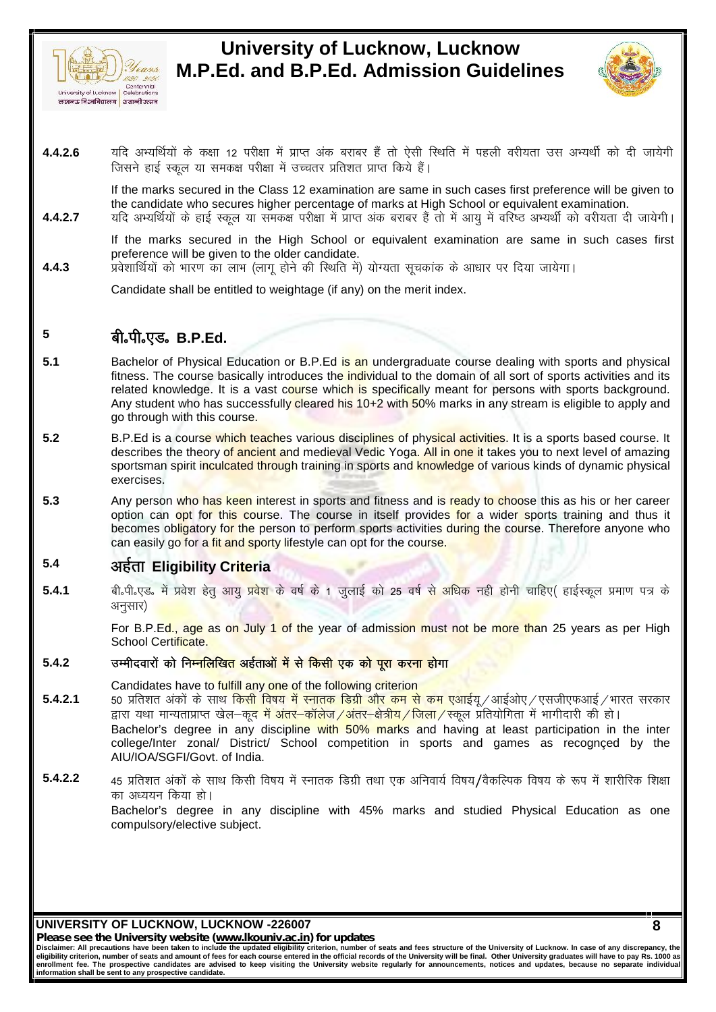



**4.4.2.6** *Centeral search and B.P.Ed. Admission Guidelines*<br> *Although Celebration*<br> *The Center of Center of Search 2008*<br> *Although and the condition* and the same of the star of the star of the star of the star of t Contention<br>and a diamethacums<br>पीद अभ्यर्थियों के कक्षा 12 परीक्षा में प्राप्त अंक बराबर हैं तो ऐसी स्थिति में पहली वरीयता उस अभ्यर्थी को दी जायेगी<br>If the marks secured in the Class 12 examination are same in such cases fi 1.4.2.6 यदि अभ्यर्थियों के कक्षा 12 परीक्षा में प्राप्त अंक बराबर हैं तो ऐसी स्थिति में पहली वरीयता उस अभ्यर्थी को दी जायेगी जिसने हाई स्कूल या समकक्ष परीक्षा में उच्चतर प्रतिशत प्राप्त किये हैं।<br>If the marks secured in t

the candidate who secures higher percentage of marks at High School or equivalent examination.<br>यदि अभ्यर्थियों के हाई स्कल या समकक्ष परीक्षा में प्राप्त अंक बराबर हैं तो में आय में वरिष्ठ अभ्यर्थी को वरीयता दी जायेगी। the marks secured in the Class 12 examination are same in such cases first preference will<br>the candidate who secures higher percentage of marks at High School or equivalent examination<br>4.4.2.7 यदि अभ्यर्थियों के हाई स्कूल

If the marks secured in the High School or equivalent examination are same in such cases first preference will be given to the older candidate.

Candidate shall be entitled to weightage (if any) on the merit index.

# **<sup>5</sup> chñihñ,Mñ B.P.Ed.**

- **5.1** Bachelor of Physical Education or B.P.Ed is an undergraduate course dealing with sports and physical fitness. The course basically introduces the individual to the domain of all sort of sports activities and its related knowledge. It is a vast course which is specifically meant for persons with sports background. Any student who has successfully cleared his 10+2 with 50% marks in any stream is eligible to apply and go through with this course.
- **5.2** B.P.Ed is a course which teaches various disciplines of physical activities. It is a sports based course. It describes the theory of ancient and medieval Vedic Yoga. All in one it takes you to next level of amazing sportsman spirit inculcated through training in sports and knowledge of various kinds of dynamic physical exercises.
- **5.3** Any person who has keen interest in sports and fitness and is ready to choose this as his or her career option can opt for this course. The course in itself provides for a wider sports training and thus it becomes obligatory for the person to perform sports activities during the course. Therefore anyone who can easily go for a fit and sporty lifestyle can opt for the course. describes the theory of ancient and medisportsman spirit inculcated through training<br>exercises.<br>5.3 Any person who has keen interest in sportion can opt for this course. The core<br>becomes obligatory for the person to per<br>c option can opt for this course. The course in itself provides for a wider sports training and thus it<br>becomes obligatory for the person to perform sports activities during the course. Therefore anyone who<br>can easily go for

अनुसार) or Candidates have to fulfill any one of the following criterion.<br>
The same of admission must not be more than 2<br>
School Certificate.<br> **5.4.2 different on the state of the search of admission must not be more than 2**<br>
Sc

For B.P.Ed., age as on July 1 of the year of admission must not be more than 25 years as per High School Certificate.

Candidates have to fulfill any one of the following criterion

**For B.P.Ed., age as on July 1 of the year of admission must not be more than** 25 years as per High<br>School Certificate.<br>**5.4.2.1** उम्मीदवारों को निम्नलिखित अर्हताओं में से किसी एक को पूरा करना होगा<br>5.4.2.1 50 प्रतिशत अंको For B.P.Ed., age as on July 1 of the year of admission must not be more than 25 years as per High<br>School Certificate.<br>उम्मीदवारों को निम्नलिखित अईताओं में से किसी एक को पूरा करना होगा<br>50 प्रतिशत अंकों के साथ किसी विषय में Bachelor's degree in any discipline with 50% marks and having at least participation in the inter  $\parallel$ college/Inter zonal/ District/ School competition in sports and games as recognçed by the AIU/IOA/SGFI/Govt. of India. 5.4.2.1 50 प्रतिशत अंकों के साथ किसी विषय में स्नातक डिग्री और कम से कम एआईयू /आईओए / एसजीएफआई / मारत सरकार<br>द्वारा यथा मान्यताप्राप्त खेल—कू<mark>द में अंतर—कॉलेज /अंतर—क्षेत्रीय / जिला</mark> / स्कूल प्रतियोगिता में भागीदारी की हो

# का अध्ययन किया हो। Bachelor's degree in any discipline with 45% marks and studied Physical Education as one compulsory/elective subject.

**UNIVERSITY OF LUCKNOW, LUCKNOW -226007**

*Please see the University website (www.lkouniv.ac.in) for updates*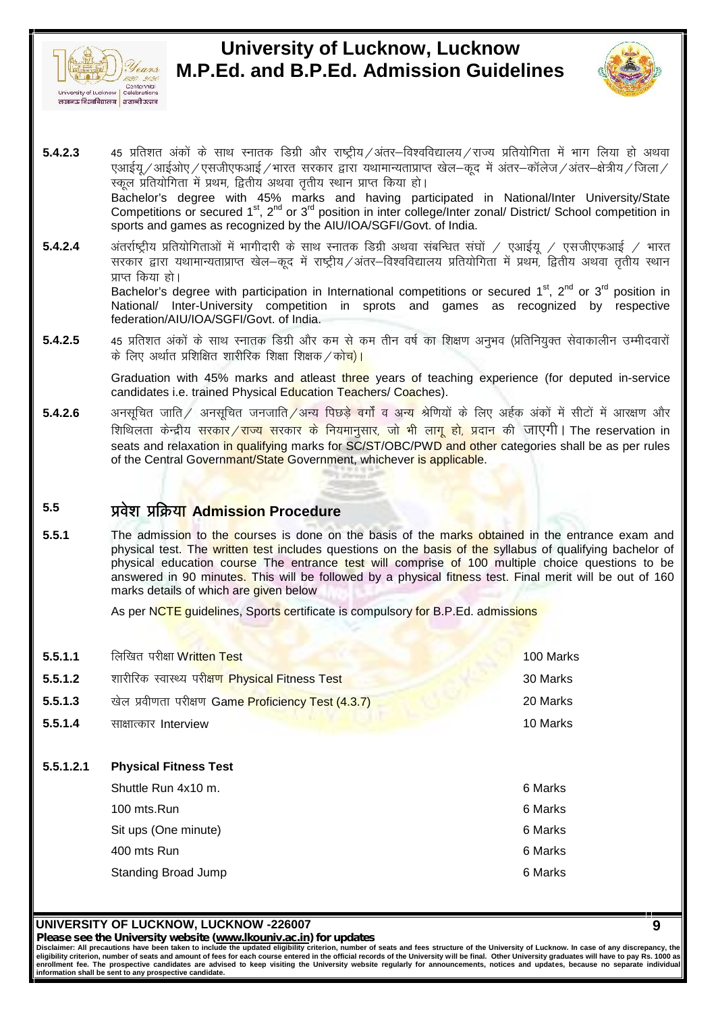



**9**

- <u>المحدد المراجعين المسابقين المسابقين الم</u>راجين المسابقين المسابقين المسابقين المسابقين المسابقين المسابقين المس<br>All provisity d'ushoming calebrations<br>Terms discribed and start<br>Terms discribed want of the start of the st w Gelebrations<br>45 प्रतिशत अंकों के साथ स्नातक डिग्री और राष्ट्रीय ⁄अंतर—विश्वविद्यालय ⁄ राज्य प्रतियोगिता में भाग लिया हो अथवा<br>एआईयू ⁄आईओए ⁄ एसजीएफआई ⁄ भारत सरकार द्वारा यथामान्यताप्राप्त खेल—कूद में अंतर—कॉलेज ⁄ अंतर—क्ष <mark>ब <sub>शताबी उत्</mark>जब<br>45 प्रतिशत अंकों के साथ स्नातक डिग्री और राष्ट्रीय ⁄अंतर—विश्वविद्यालय ⁄<br>एआईयू ⁄आईओए ⁄ एसजीएफआई ⁄ भारत सरकार द्वारा यथामान्यताप्राप्त खेल—व्<br>स्कूल प्रतियोगिता में प्रथम, द्वितीय अथवा तृतीय स्थान प्राप्त क</mark></sub> Bachelor's degree with 45% marks and having participated in National/Inter University/State Competitions or secured 1<sup>st</sup>, 2<sup>nd</sup> or 3<sup>rd</sup> position in inter college/Inter zonal/ District/ School competition in sports and games as recognized by the AIU/IOA/SGFI/Govt. of India. एआईयू $/$ आईओए $/$ एसजीएफआई $/$ भारत सरकार द्वारा यथामान्यताप्राप्त खेल—कूद में अंतर—कॉलेज $/$ अंतर—क्षेत्रीय $/$ जिला $/$ स्कूल प्रतियोगिता में प्रथम, द्वितीय अथवा तृतीय स्थान प्राप्त किया हो |<br>Bachelor's degree with 45% marks and रकूल प्रतियोगिता में प्रथम, द्वितीय अथवा तृतीय स्थान प्राप्त किया हो।<br>Bachelor's degree with 45% marks and having participated in National/Inter University/State<br>Competitions or secured 1<sup>st</sup>, 2<sup>nd</sup> or 3<sup>rd</sup> position in i
- प्राप्त किया हो। Bachelor's degree with participation in International competitions or secured 1<sup>st</sup>, 2<sup>nd</sup> or 3<sup>rd</sup> position in  $\|$ सरकार द्वारा यथामान्यताप्राप्त खेल–कूद में राष्ट्रीय⁄अंतर–विश्वविद्यालय प्रतियोगिता में प्रथम, द्वितीय अथवा तृतीय स्थान<br>प्राप्त किया हो।<br>Bachelor's degree with participation in International competitions or secured 1st, 2

National/ Inter-University competition in sprots and games as recognized by respective federation/AIU/IOA/SGFI/Govt. of India. प्राप्त किया हो |<br>Bachelor's degree with participation in International c<br>National/ Inter-University competition in sprots<br>federation/AIU/IOA/SGFI/Govt. of India.<br>45 प्रतिशत अंकों के साथ स्नातक डिग्री और कम से कम तीन<br>के ल

Graduation with 45% marks and atleast three years of teaching experience (for deputed in-service candidates i.e. trained Physical Education Teachers/ Coaches).

**5.4.2.5** 45 प्रतिशत अंकों के साथ स्नातक डिग्री और कम से कम तीन वर्ष का शिक्षण अनुभव (प्रतिनियुक्त सेवाकालीन उम्मीदवारों<br>के लिए अर्थात प्रशिक्षित शारीरिक शिक्षा शिक्षक / कोच्<mark>य) |</mark><br>Graduation with 45% marks and atleast th रू आरोरीर जाया के साथ राहिया छता जारे का साथ राज्य है।<br>के लिए अर्थात प्रशिक्षित शारीरिक शिक्षा शिक्षक / कोच) |<br>Craduation with 45% marks and atleast three years of teaching experience (for deputed in-service<br>candidates i. seats and relaxation i<mark>n qualifyin</mark>g marks for SC/ST/OBC/PWD and other categories shall be as per rules  $\parallel$ of the Central Governmant/State Government, whichever is applicable.

# **5.5 ços"k çfØ;k Admission Procedure**

**5.5.1** The admission to the courses is done on the basis of the marks obtained in the entrance exam and physical test. The written test includes questions on the basis of the syllabus of qualifying bachelor of physical education course The entrance test will comprise of 100 multiple choice questions to be answered in 90 minutes. This will be followed by a physical fitness test. Final merit will be out of 160 marks details of which are given below

As per NCTE guidelines, Sports certificate is compulsory for B.P.Ed. admissions

|           | we port inche galacterize, openio continuato la compaigny for p.r. .Ed. damnociono |           |  |
|-----------|------------------------------------------------------------------------------------|-----------|--|
| 5.5.1.1   | लिखित परीक्षा Written Test                                                         | 100 Marks |  |
| 5.5.1.2   | शारीरिक स्वास्थ्य परीक्षण Physical Fitness Test<br>30 Marks                        |           |  |
| 5.5.1.3   | खेल प्रवीणता परीक्षण Game Proficiency Test (4.3.7)                                 | 20 Marks  |  |
| 5.5.1.4   | साक्षात्कार Interview                                                              | 10 Marks  |  |
|           |                                                                                    |           |  |
|           |                                                                                    |           |  |
| 5.5.1.2.1 | <b>Physical Fitness Test</b>                                                       |           |  |
|           | Shuttle Run 4x10 m.                                                                | 6 Marks   |  |
|           | 100 mts.Run                                                                        | 6 Marks   |  |
|           | Sit ups (One minute)                                                               | 6 Marks   |  |
|           | 400 mts Run                                                                        | 6 Marks   |  |
|           | <b>Standing Broad Jump</b>                                                         | 6 Marks   |  |

### **UNIVERSITY OF LUCKNOW, LUCKNOW -226007**

*Please see the University website (www.lkouniv.ac.in) for updates*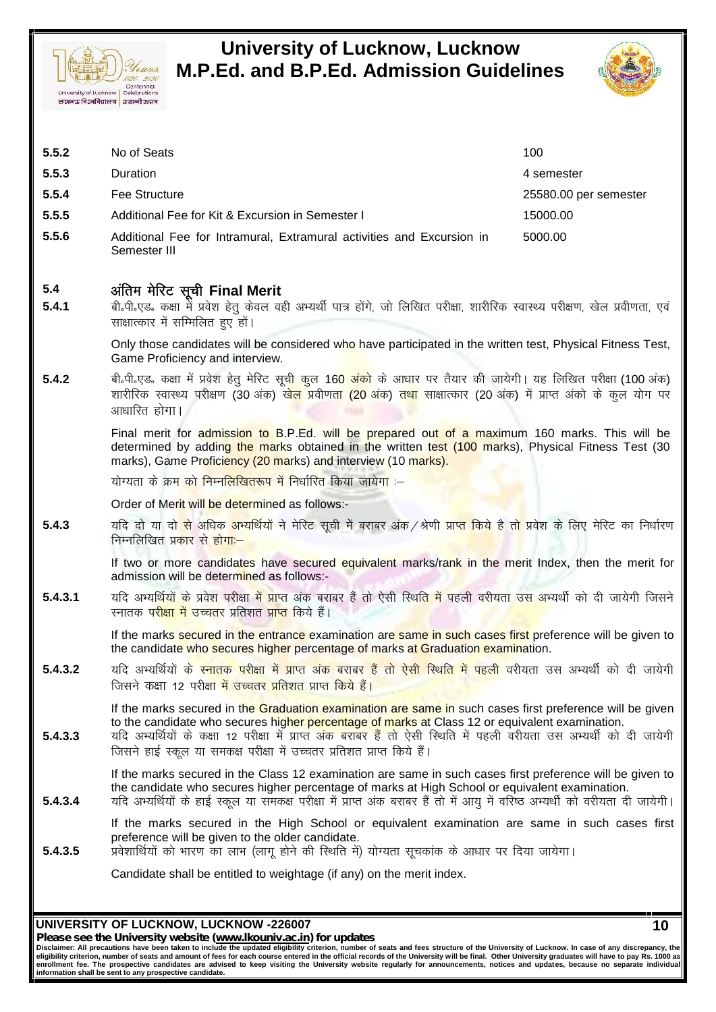



| 5.5.2        | No of Seats                                                                                                                                                                                        | 100                   |
|--------------|----------------------------------------------------------------------------------------------------------------------------------------------------------------------------------------------------|-----------------------|
| 5.5.3        | <b>Duration</b>                                                                                                                                                                                    | 4 semester            |
| 5.5.4        | Fee Structure                                                                                                                                                                                      | 25580.00 per semester |
| 5.5.5        | Additional Fee for Kit & Excursion in Semester I                                                                                                                                                   | 15000.00              |
| 5.5.6        | Additional Fee for Intramural, Extramural activities and Excursion in<br>Semester III                                                                                                              | 5000.00               |
| 5.4<br>5.4.1 | अंतिम मेरिट सूची Final Merit<br>बी.पी.एड. कक्षा में प्रवेश हेतू केवल वही अभ्यर्थी पात्र होंगे, जो लिखित परीक्षा, शारीरिक स्वास्थ्य परीक्षण, खेल प्रवीणता, एवं<br>साक्षात्कार में सम्मिलित हुए हों। |                       |

Additional Fee for Intramural, Extramural activ<br>Semester III<br>अंतिम मेरिट सूची Final Merit<br>बी.पी.एड. कक्षा में प्रवेश हेतु केवल वही अभ्यर्थी पात्र होंग<br>साक्षात्कार में सम्मिलित हुए हों।<br>Only those candidates will be consid

Only those candidates will be considered who have participated in the written test, Physical Fitness Test, Game Proficiency and interview.

the state of the state of the state of the state of the state of the state of the state of the state of the state of the state of the state of the state of the state of the state of the state of the state of the second in साक्षात्कार में सम्मिलित हुए हों।<br>'Only those candidates will be considered who have participated in the written test, Physical Fitness Test,<br>Game Proficiency and interview.<br>बी.पी.एड. कक्षा में प्रवेश हेतु मेरिट सूची कुल आधारित होगा।

Final merit for admission to B.P.Ed. will be prepared out of a maximum 160 marks. This will be determined by adding the marks obtained in the written test (100 marks), Physical Fitness Test (30  $\,$   $\parallel$ marks), Game Proficiency (20 marks) and interview (10 marks). शारास्क स्वास्थ्य पराजन (30 अर्क) खुल प्रवानता (20 अर्क) तथा सानातका<br>आधारित होगा |<br>determined by adding the marks obtained in the written test (1<br>marks), Game Proficiency (20 marks) and interview (10 marks).<br>योग्यता के क्

Order of Merit will be determined as follows:-

determined by adding the marks obtained in the written test (100 marks), Physical Fitness Test (30 marks), Game Proficiency (20 marks) and interview (10 marks).<br>
योग्यता के क्रम को निम्नलिखितरूप में निर्धारित किया जायेगा योग्यता के क्रम को निम्नलिखितरूप में निर्धारित किया जायेगा :--<br>Order of Meri<mark>t will be determined as follows:-</mark><br>यदि दो या द<mark>ो से</mark> अधिक <mark>अभ्यर्थियों ने मेरिट सूची में बराबर अंक ⁄ श्रेणी प्राप्त किये है त<mark>ो प्र</mark>वेश के लिए म</mark>

If two or more candidates have secured equivalent marks/rank in the merit Index, then the merit for admission will be determined as follows:-

5.4.3 यदि दो या द<mark>ो से</mark> अधिक <mark>अभ्य</mark>र्थियों ने मेरिट सूची में बराबर अंक /श्रेणी प्राप्त किये है त<mark>ो प्र</mark>वेश के लिए मेरिट का निर्धारण<br>Fra लिखित प्रकार से होगा:-<br>If two or more candidates have secured equivalent marks/rank i याद दा या दा से आधक अस्यायया न मारट सूचा में बराबर अक7 अणा<br>निम्नलिखित प्रकार से होगा:-<br>admission will be determined as follows:-<br>यदि अभ्यर्थियों के प्रवेश परीक्षा में प्राप्त अंक बराबर हैं तो ऐसी स्थिति में<br>स्नातक परीक्षा 1.3.1 यदि अभ्यर्थियों के प्रवेश परीक्षा में प्राप्त अंक बराबर हैं तो ऐसी स्थिति में पहली वरीयता उस अभ्यर्थी को दी जायेगी जिसने स्नातक प<mark>रीक्षा में उच्चतर प्रतिशत प्राप्त किये हैं।</mark><br>If the marks secured in the entrance exa

If the marks secured in the entrance examination are same in such cases first preference will be given to the candidate who secures higher percentage of marks at Graduation examination.

पाद अन्यायया के प्रयत्न पराधा ने प्रारा जय पराबर है तो रहा स्थान में पहला परास्ता में उच्चतर प्रतिशत प्राप्त किये हैं।<br>If the marks secured in the entrance examination are same in such ca<br>the candidate who secures higher ine candidate who secures higher percentage of marks at chaddation examination.<br>
5.4.3.2 यदि अभ्यर्थियों के स्नातक परीक्षा में प्राप्त अंक बराबर हैं तो ऐसी स्थिति में पहली वरीयता उस अभ्यर्थी को दी जायेगी<br>
If the marks sec

If the marks secured in the Graduation examination are same in such cases first preference will be given to the candidate who secures hi<mark>gher percentage of marks at C</mark>lass 12 or equivalent examination.

यदि अभ्यर्थियों के <mark>स्नातक परीक्षा में प्राप्त अंक ब</mark>राबर हैं तो ऐसी स्थिति में पहली वरीयता<br>जिसने कक्षा 12 परीक्षा में उच्चतर प्रतिशत प्राप्त किये हैं।<br>If the marks secured in the Graduation examination are same in such c

If the marks secured in the Class 12 examination are same in such cases first preference will be given to the candidate who secures higher percentage of marks at High School or equivalent examination.<br>यदि अभ्यर्थियों के हाई स्कूल या समकक्ष परीक्षा में प्राप्त अंक बराबर हैं तो में आयु में वरिष्ठ अभ्यर्थी को वरीयता दी जायेगी। to the candidate who secures higher percentage of marks at Class 12 or equivalent examination.<br>
5.4.3.3<br>
यदि अभ्यर्थियों के कक्षा 12 परीक्षा में प्राप्त अंक बराबर हैं तो ऐसी स्थिति में पहली वरीयता उस अभ्यर्थी को दी जायेगी **If the marks secured in the Class 12 examination are same in such cases first preference will the candidate who secures higher percentage of marks at High School or equivalent examination<br>
<b>5.4.3.4** यदि अभ्यर्थियों के हा

- If the marks secured in the High School or equivalent examination are same in such cases first
- preference will be given to the older candidate.<br>प्रवेशार्थियों को भारण का लाभ (लागू होने की स्थिति में) योग्यता सूचकांक के आधार पर दिया जायेगा।

Candidate shall be entitled to weightage (if any) on the merit index.

**UNIVERSITY OF LUCKNOW, LUCKNOW -226007**

*Please see the University website (www.lkouniv.ac.in) for updates*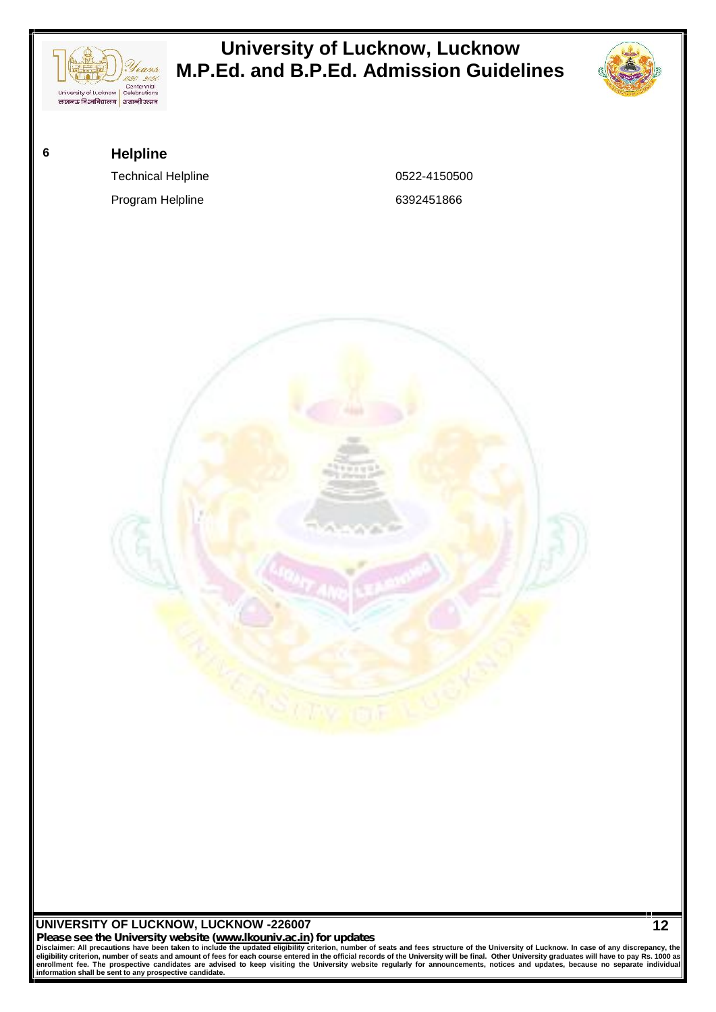

Please see the University website (www.lkouniv.ac.in) for updates<br>Disclaimer: All precautions have been taken to include the updated eligibility criterion, number of seats and fees structure of the University of Lucknow. I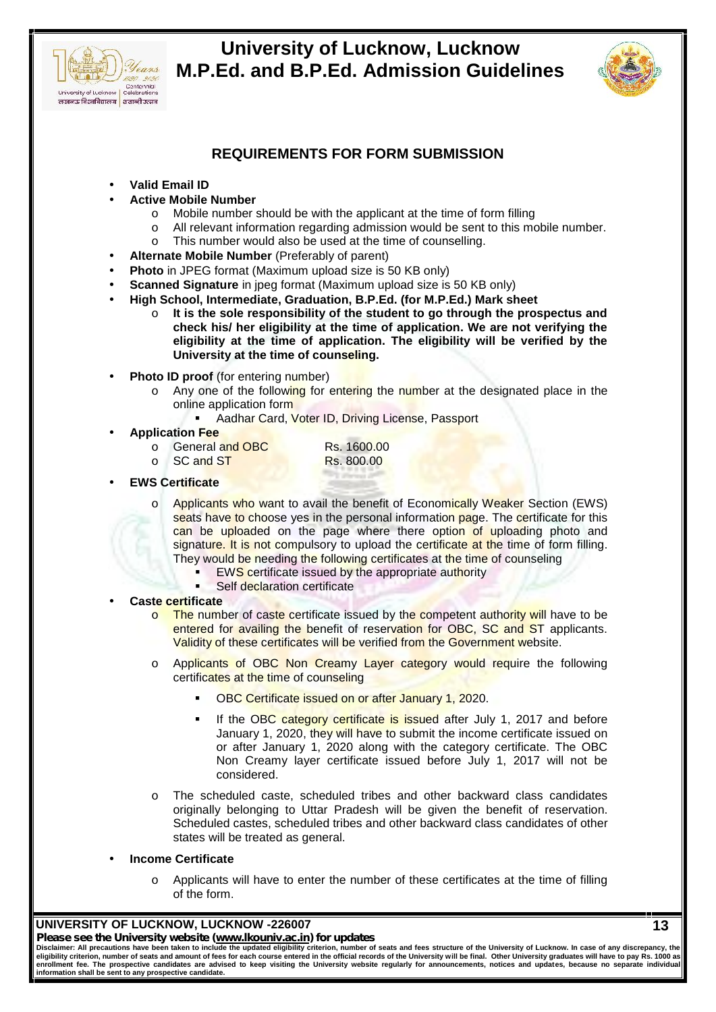



**13**

# **REQUIREMENTS FOR FORM SUBMISSION**

- **Valid Email ID**
- **Active Mobile Number**
	- o Mobile number should be with the applicant at the time of form filling
	- o All relevant information regarding admission would be sent to this mobile number.
	- o This number would also be used at the time of counselling.
- **Alternate Mobile Number** (Preferably of parent)
- **Photo** in JPEG format (Maximum upload size is 50 KB only)
- **Scanned Signature** in jpeg format (Maximum upload size is 50 KB only)
- **High School, Intermediate, Graduation, B.P.Ed. (for M.P.Ed.) Mark sheet**
	- o **It is the sole responsibility of the student to go through the prospectus and check his/ her eligibility at the time of application. We are not verifying the eligibility at the time of application. The eligibility will be verified by the University at the time of counseling.**
- **Photo ID proof** (for entering number)
	- Any one of the following for entering the number at the designated place in the online application form
		- Aadhar Card, Voter ID, Driving License, Passport
- **Application Fee**
	- o General and OBC Rs. 1600.00
	- $\circ$  SC and ST Rs. 800.00
- **EWS Certificate**
	- o Applicants who want to avail the benefit of Economically Weaker Section (EWS) seats have to choose yes in the personal information page. The certificate for this can be uploaded on the page where there option of uploading photo and signature. It is not compulsory to upload the certificate at the time of form filling. They would be needing the following certificates at the time of counseling
		- EWS certificate issued by the appropriate authority
		- Self declaration certificate

#### **Caste certificate**

- $\circ$  The number of caste certificate issued by the competent authority will have to be entered for availing the benefit of reservation for OBC, SC and ST applicants. Validity of these certificates will be verified from the Government website.
- Applicants of OBC Non Creamy Layer category would require the following certificates at the time of counseling
	- OBC Certificate issued on or after January 1, 2020.
	- If the OBC category certificate is issued after July 1, 2017 and before January 1, 2020, they will have to submit the income certificate issued on or after January 1, 2020 along with the category certificate. The OBC Non Creamy layer certificate issued before July 1, 2017 will not be considered.
- o The scheduled caste, scheduled tribes and other backward class candidates originally belonging to Uttar Pradesh will be given the benefit of reservation. Scheduled castes, scheduled tribes and other backward class candidates of other states will be treated as general.
- **Income Certificate**
	- o Applicants will have to enter the number of these certificates at the time of filling of the form.

### **UNIVERSITY OF LUCKNOW, LUCKNOW -226007**

*Please see the University website (www.lkouniv.ac.in) for updates*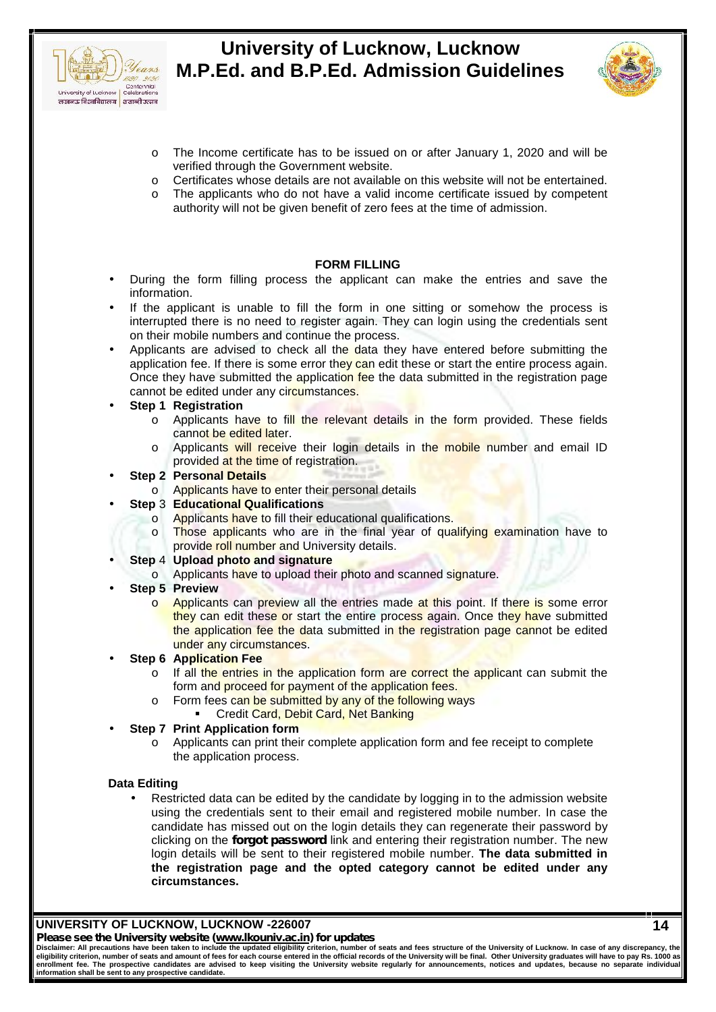



- o The Income certificate has to be issued on or after January 1, 2020 and will be verified through the Government website.
- o Certificates whose details are not available on this website will not be entertained.
- o The applicants who do not have a valid income certificate issued by competent authority will not be given benefit of zero fees at the time of admission.

### **FORM FILLING**

- During the form filling process the applicant can make the entries and save the information.
- If the applicant is unable to fill the form in one sitting or somehow the process is interrupted there is no need to register again. They can login using the credentials sent on their mobile numbers and continue the process.
- Applicants are advised to check all the data they have entered before submitting the application fee. If there is some error they can edit these or start the entire process again. Once they have submitted the application fee the data submitted in the registration page cannot be edited under any circumstances.

### **Step 1 Registration**

- $\circ$  Applicants have to fill the relevant details in the form provided. These fields cannot be edited later.
- o Applicants will receive their login details in the mobile number and email ID provided at the time of registration.

### **Step 2 Personal Details**

- o Applicants have to enter their personal details
- **Step** 3 **Educational Qualifications**
	- o **Applicants have to fill their educational qualifications.**
	- o Those applicants who are in the final year of qualifying examination have to provide roll number and University details.

### **Step** 4 **Upload photo and signature**

- o Applicants have to upload their photo and scanned signature.
- **Step 5 Preview**
	- o **Applicants can preview all the entries made at this point. If there is some error** they can edit these or start the entire process again. Once they have submitted the application fee the data submitted in the registration page cannot be edited under any circumstances.

### **Step 6 Application Fee**

- o If all the entries in the application form are correct the applicant can submit the form and proceed for payment of the application fees.
- o Form fees can be submitted by any of the following ways
	- Credit Card, Debit Card, Net Banking

### **Step 7 Print Application form**

o Applicants can print their complete application form and fee receipt to complete the application process.

### **Data Editing**

 Restricted data can be edited by the candidate by logging in to the admission website using the credentials sent to their email and registered mobile number. In case the candidate has missed out on the login details they can regenerate their password by clicking on the *forgot password* link and entering their registration number. The new login details will be sent to their registered mobile number. **The data submitted in the registration page and the opted category cannot be edited under any circumstances.**

**UNIVERSITY OF LUCKNOW, LUCKNOW -226007**

### *Please see the University website (www.lkouniv.ac.in) for updates*